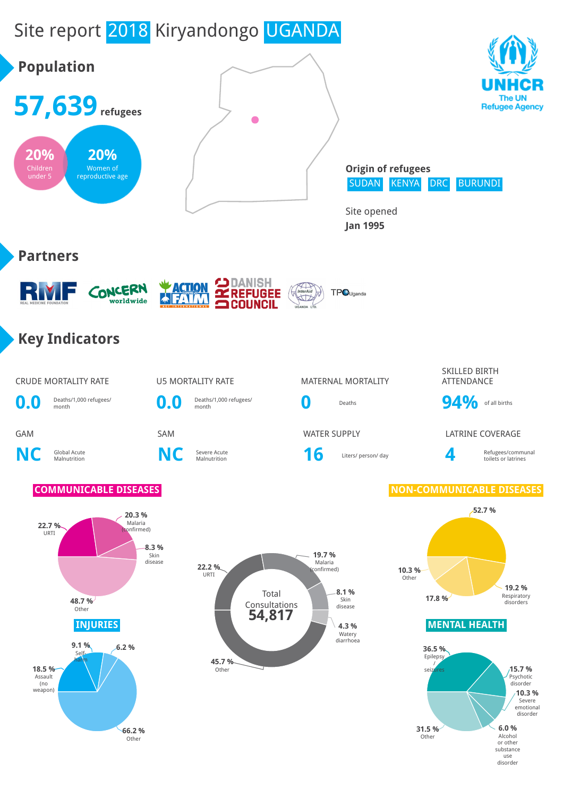# Site report 2018 Kiryandongo UGANDA



use disorder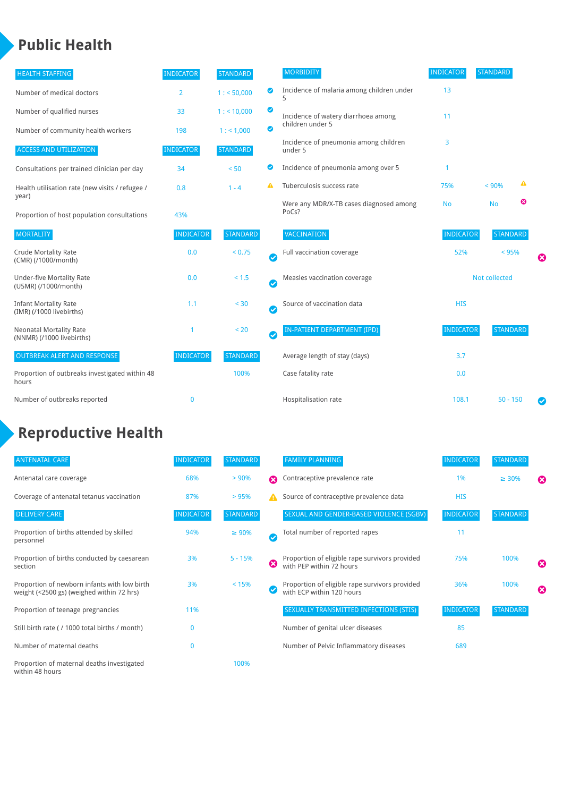### **Public Health**

| <b>HEALTH STAFFING</b>                                      | <b>INDICATOR</b> | <b>STANDARD</b> |                            | <b>MORBIDITY</b>                                 | <b>INDICATOR</b>     | <b>STANDARD</b> |   |   |
|-------------------------------------------------------------|------------------|-----------------|----------------------------|--------------------------------------------------|----------------------|-----------------|---|---|
| Number of medical doctors                                   | $\overline{2}$   | 1: 50,000       | $\bullet$                  | Incidence of malaria among children under        | 13                   |                 |   |   |
| Number of qualified nurses                                  | 33               | 1:10,000        | $\bullet$                  | Incidence of watery diarrhoea among              | 11                   |                 |   |   |
| Number of community health workers                          | 198              | 1: 1,000        | $\bullet$                  | children under 5                                 |                      |                 |   |   |
| <b>ACCESS AND UTILIZATION</b>                               | <b>INDICATOR</b> | <b>STANDARD</b> |                            | Incidence of pneumonia among children<br>under 5 | 3                    |                 |   |   |
| Consultations per trained clinician per day                 | 34               | < 50            | ◕                          | Incidence of pneumonia among over 5              | -1                   |                 |   |   |
| Health utilisation rate (new visits / refugee /             | 0.8              | $1 - 4$         | А                          | Tuberculosis success rate                        | 75%                  | < 90%           | ▲ |   |
| year)<br>Proportion of host population consultations        | 43%              |                 |                            | Were any MDR/X-TB cases diagnosed among<br>PoCs? | <b>No</b>            | <b>No</b>       | ೞ |   |
| <b>MORTALITY</b>                                            | <b>INDICATOR</b> | <b>STANDARD</b> |                            | VACCINATION                                      | <b>INDICATOR</b>     | <b>STANDARD</b> |   |   |
| <b>Crude Mortality Rate</b><br>(CMR) (/1000/month)          | 0.0              | < 0.75          | $\bm{\mathcal{C}}$         | Full vaccination coverage                        | 52%                  | < 95%           |   | ೞ |
| <b>Under-five Mortality Rate</b><br>(U5MR) (/1000/month)    | 0.0              | $< 1.5$         | $\boldsymbol{\mathcal{C}}$ | Measles vaccination coverage                     | <b>Not collected</b> |                 |   |   |
| <b>Infant Mortality Rate</b><br>(IMR) (/1000 livebirths)    | 1.1              | < 30            | $\bullet$                  | Source of vaccination data                       | <b>HIS</b>           |                 |   |   |
| <b>Neonatal Mortality Rate</b><br>(NNMR) (/1000 livebirths) |                  | < 20            | $\bm{\bm\omega}$           | <b>IN-PATIENT DEPARTMENT (IPD)</b>               | <b>INDICATOR</b>     | <b>STANDARD</b> |   |   |
| <b>OUTBREAK ALERT AND RESPONSE</b>                          | <b>INDICATOR</b> | <b>STANDARD</b> |                            | Average length of stay (days)                    | 3.7                  |                 |   |   |
| Proportion of outbreaks investigated within 48<br>hours     |                  | 100%            |                            | Case fatality rate                               | 0.0                  |                 |   |   |
| Number of outbreaks reported                                | $\bf{0}$         |                 |                            | Hospitalisation rate                             | 108.1                | $50 - 150$      |   | Ø |

## **Reproductive Health**

| <b>ANTENATAL CARE</b>                                                                     | <b>INDICATOR</b> | <b>STANDARD</b> |              | <b>FAMILY PLANNING</b>                                                      | <b>INDICATOR</b> | <b>STANDARD</b> |                       |
|-------------------------------------------------------------------------------------------|------------------|-----------------|--------------|-----------------------------------------------------------------------------|------------------|-----------------|-----------------------|
| Antenatal care coverage                                                                   | 68%              | $> 90\%$        | Ω            | Contraceptive prevalence rate                                               | 1%               | $\geq 30\%$     | $\boldsymbol{\Omega}$ |
| Coverage of antenatal tetanus vaccination                                                 | 87%              | >95%            | А            | Source of contraceptive prevalence data                                     | <b>HIS</b>       |                 |                       |
| <b>DELIVERY CARE</b>                                                                      | <b>INDICATOR</b> | <b>STANDARD</b> |              | SEXUAL AND GENDER-BASED VIOLENCE (SGBV)                                     | <b>INDICATOR</b> | <b>STANDARD</b> |                       |
| Proportion of births attended by skilled<br>personnel                                     | 94%              | $\geq 90\%$     | $\checkmark$ | Total number of reported rapes                                              | 11               |                 |                       |
| Proportion of births conducted by caesarean<br>section                                    | 3%               | $5 - 15%$       | Ø            | Proportion of eligible rape survivors provided<br>with PEP within 72 hours  | 75%              | 100%            | ೞ                     |
| Proportion of newborn infants with low birth<br>weight (<2500 gs) (weighed within 72 hrs) | 3%               | < 15%           |              | Proportion of eligible rape survivors provided<br>with ECP within 120 hours | 36%              | 100%            | $\boldsymbol{\Omega}$ |
| Proportion of teenage pregnancies                                                         | 11%              |                 |              | SEXUALLY TRANSMITTED INFECTIONS (STIS)                                      | <b>INDICATOR</b> | <b>STANDARD</b> |                       |
| Still birth rate (/ 1000 total births / month)                                            | $\Omega$         |                 |              | Number of genital ulcer diseases                                            | 85               |                 |                       |
| Number of maternal deaths                                                                 | $\mathbf{0}$     |                 |              | Number of Pelvic Inflammatory diseases                                      | 689              |                 |                       |
| Proportion of maternal deaths investigated<br>within 48 hours                             |                  | 100%            |              |                                                                             |                  |                 |                       |